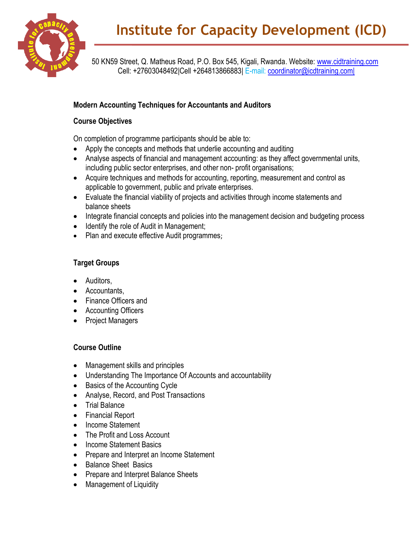

50 KN59 Street, Q. Matheus Road, P.O. Box 545, Kigali, Rwanda. Website: [www.cidtraining.com](http://www.cidtraining.com/) Cell: +27603048492|Cell +264813866883| E-mail: [coordinator@icdtraining.com|](mailto:coordinator@icdtraining.com%7C)

## **Modern Accounting Techniques for Accountants and Auditors**

## **Course Objectives**

On completion of programme participants should be able to:

- Apply the concepts and methods that underlie accounting and auditing
- Analyse aspects of financial and management accounting: as they affect governmental units, including public sector enterprises, and other non- profit organisations;
- Acquire techniques and methods for accounting, reporting, measurement and control as applicable to government, public and private enterprises.
- Evaluate the financial viability of projects and activities through income statements and balance sheets
- Integrate financial concepts and policies into the management decision and budgeting process
- Identify the role of Audit in Management;
- Plan and execute effective Audit programmes;

## **Target Groups**

- Auditors,
- Accountants,
- Finance Officers and
- Accounting Officers
- Project Managers

## **Course Outline**

- Management skills and principles
- Understanding The Importance Of Accounts and accountability
- Basics of the Accounting Cycle
- Analyse, Record, and Post Transactions
- Trial Balance
- Financial Report
- Income Statement
- The Profit and Loss Account
- Income Statement Basics
- Prepare and Interpret an Income Statement
- Balance Sheet Basics
- Prepare and Interpret Balance Sheets
- Management of Liquidity